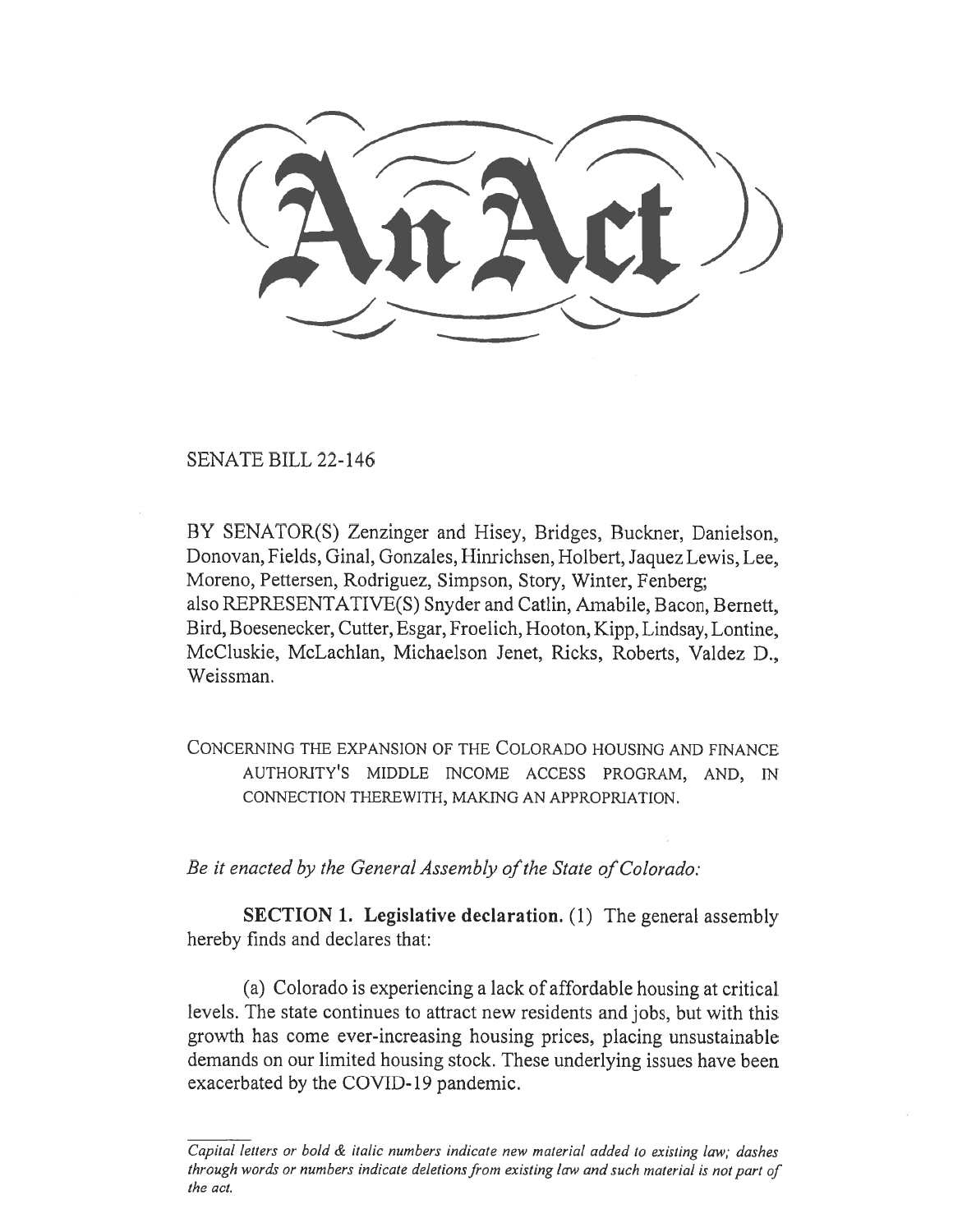SENATE BILL 22-146

BY SENATOR(S) Zenzinger and Hisey, Bridges, Buckner, Danielson, Donovan, Fields, Ginal, Gonzales, Hinrichsen, Holbert, Jaquez Lewis, Lee, Moreno, Pettersen, Rodriguez, Simpson, Story, Winter, Fenberg; also REPRESENTATIVE(S) Snyder and Catlin, Amabile, Bacon, Bernett, Bird, Boesenecker, Cutter, Esgar, Froelich, Hooton, Kipp, Lindsay, Lontine, McCluskie, McLachlan, Michaelson Jenet, Ricks, Roberts, Valdez D., Weissman.

CONCERNING THE EXPANSION OF THE COLORADO HOUSING AND FINANCE AUTHORITY'S MIDDLE INCOME ACCESS PROGRAM, AND, IN CONNECTION THEREWITH, MAKING AN APPROPRIATION.

Be it enacted by the General Assembly of the State of Colorado:

SECTION 1. Legislative declaration. (1) The general assembly hereby finds and declares that:

(a) Colorado is experiencing a lack of affordable housing at critical levels. The state continues to attract new residents and jobs, but with this growth has come ever-increasing housing prices, placing unsustainable demands on our limited housing stock. These underlying issues have been exacerbated by the COVID-19 pandemic.

Capital letters or bold  $\&$  italic numbers indicate new material added to existing law; dashes through words or numbers indicate deletions from existing law and such material is not part of the act.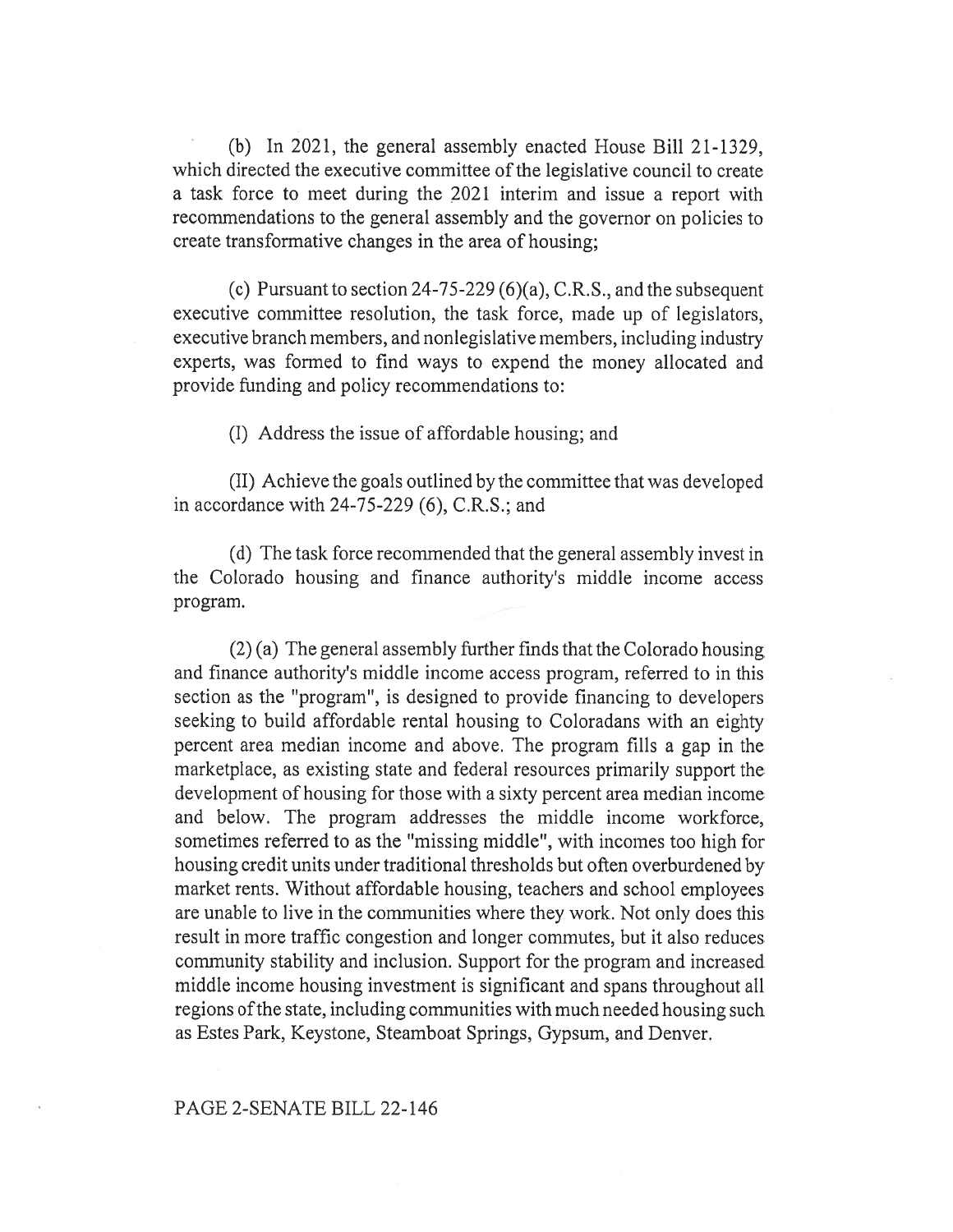(b) In 2021, the general assembly enacted House Bill 21-1329, which directed the executive committee of the legislative council to create a task force to meet during the 2021 interim and issue a report with recommendations to the general assembly and the governor on policies to create transformative changes in the area of housing;

(c) Pursuant to section 24-75-229 (6)(a), C.R.S., and the subsequent executive committee resolution, the task force, made up of legislators, executive branch members, and nonlegislative members, including industry experts, was formed to find ways to expend the money allocated and provide funding and policy recommendations to:

(I) Address the issue of affordable housing; and

(II) Achieve the goals outlined by the committee that was developed in accordance with 24-75-229 (6), C.R.S.; and

(d) The task force recommended that the general assembly invest in the Colorado housing and finance authority's middle income access program.

(2) (a) The general assembly further finds that the Colorado housing and finance authority's middle income access program, referred to in this section as the "program", is designed to provide financing to developers seeking to build affordable rental housing to Coloradans with an eighty percent area median income and above. The program fills a gap in the marketplace, as existing state and federal resources primarily support the development of housing for those with a sixty percent area median income and below. The program addresses the middle income workforce, sometimes referred to as the "missing middle", with incomes too high for housing credit units under traditional thresholds but often overburdened by market rents. Without affordable housing, teachers and school employees are unable to live in the communities where they work. Not only does this result in more traffic congestion and longer commutes, but it also reduces community stability and inclusion. Support for the program and increased middle income housing investment is significant and spans throughout all regions of the state, including communities with much needed housing such as Estes Park, Keystone, Steamboat Springs, Gypsum, and Denver.

## PAGE 2-SENATE BILL 22-146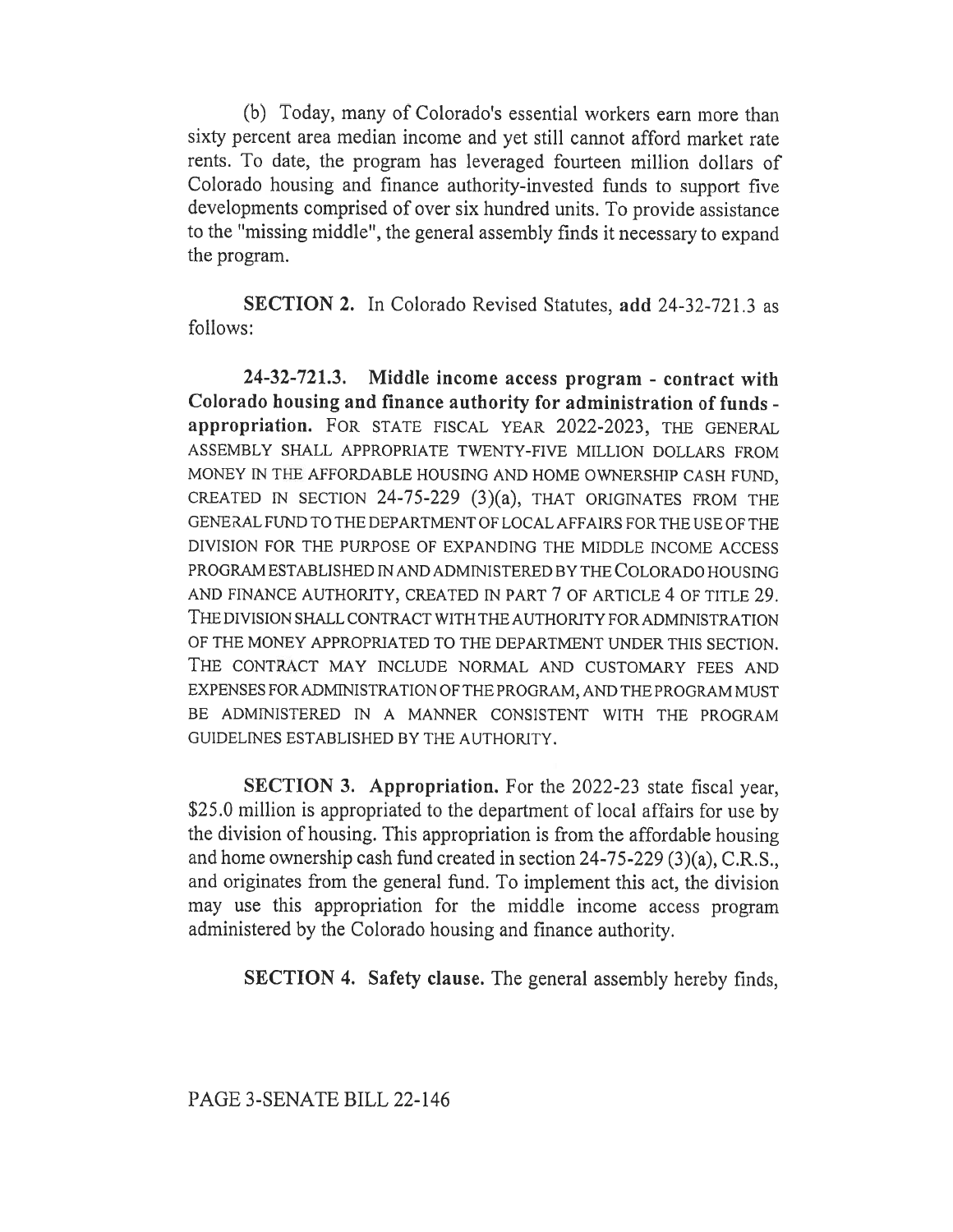(b) Today, many of Colorado's essential workers earn more than sixty percent area median income and yet still cannot afford market rate rents. To date, the program has leveraged fourteen million dollars of Colorado housing and finance authority-invested funds to support five developments comprised of over six hundred units. To provide assistance to the "missing middle", the general assembly finds it necessary to expand the program.

SECTION 2. In Colorado Revised Statutes, add 24-32-721.3 as follows:

24-32-721.3. Middle income access program - contract with Colorado housing and finance authority for administration of funds appropriation. FOR STATE FISCAL YEAR 2022-2023, THE GENERAL ASSEMBLY SHALL APPROPRIATE TWENTY-FIVE MILLION DOLLARS FROM MONEY IN THE AFFORDABLE HOUSING AND HOME OWNERSHIP CASH FUND, CREATED IN SECTION 24-75-229  $(3)(a)$ , THAT ORIGINATES FROM THE GENERAL FUND TO THE DEPARTMENT OF LOCAL AFFAIRS FOR THE USE OF THE DIVISION FOR THE PURPOSE OF EXPANDING THE MIDDLE INCOME ACCESS PROGRAM ESTABLISHED IN AND ADMINISTERED BY THE COLORADO HOUSING AND FINANCE AUTHORITY, CREATED IN PART 7 OF ARTICLE 4 OF TITLE 29. THE DIVISION SHALL CONTRACT WITH THE AUTHORITY FOR ADMINISTRATION OF THE MONEY APPROPRIATED TO THE DEPARTMENT UNDER THIS SECTION. THE CONTRACT MAY INCLUDE NORMAL AND CUSTOMARY FEES AND EXPENSES FOR ADMINISTRATION OF THE PROGRAM, AND THE PROGRAM MUST BE ADMINISTERED IN A MANNER CONSISTENT WITH THE PROGRAM GUIDELINES ESTABLISHED BY THE AUTHORITY.

SECTION 3. Appropriation. For the 2022-23 state fiscal year, \$25.0 million is appropriated to the department of local affairs for use by the division of housing. This appropriation is from the affordable housing and home ownership cash fund created in section 24-75-229 (3)(a), C.R.S., and originates from the general fund. To implement this act, the division may use this appropriation for the middle income access program administered by the Colorado housing and finance authority.

SECTION 4. Safety clause. The general assembly hereby finds,